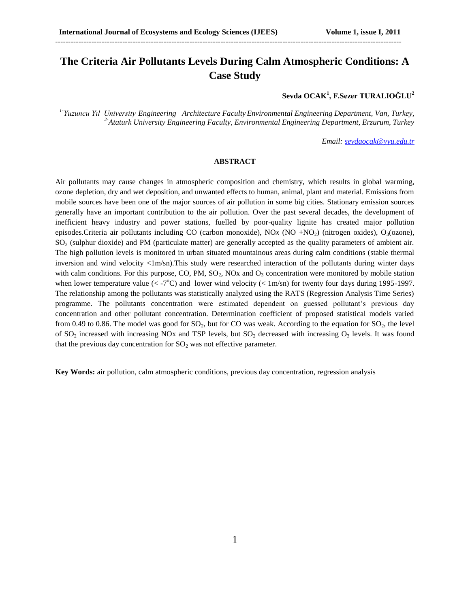# **The Criteria Air Pollutants Levels During Calm Atmospheric Conditions: A Case Study**

--------------------------------------------------------------------------------------------------------------------------------------

**Sevda OCAK<sup>1</sup> , F.Sezer TURALIOĞLU<sup>2</sup>**

*1- Yuzuncu Yıl University Engineering –Architecture Faculty Environmental Engineering Department, Van, Turkey, 2-Ataturk University Engineering Faculty, Environmental Engineering Department, Erzurum, Turkey*

*Email: [sevdaocak@yyu.edu.tr](mailto:sevdaocak@yyu.edu.tr)*

#### **ABSTRACT**

Air pollutants may cause changes in atmospheric composition and chemistry, which results in global warming, ozone depletion, dry and wet deposition, and unwanted effects to human, animal, plant and material. Emissions from mobile sources have been one of the major sources of air pollution in some big cities. Stationary emission sources generally have an important contribution to the air pollution. Over the past several decades, the development of inefficient heavy industry and power stations, fuelled by poor-quality lignite has created major pollution episodes.Criteria air pollutants including CO (carbon monoxide), NOx (NO +NO<sub>2</sub>) (nitrogen oxides), O<sub>3</sub>(ozone),  $SO<sub>2</sub>$  (sulphur dioxide) and PM (particulate matter) are generally accepted as the quality parameters of ambient air. The high pollution levels is monitored in urban situated mountainous areas during calm conditions (stable thermal inversion and wind velocity  $\langle 1m/m \rangle$ . This study were researched interaction of the pollutants during winter days with calm conditions. For this purpose, CO, PM,  $SO_2$ , NOx and  $O_3$  concentration were monitored by mobile station when lower temperature value  $(< -7^{\circ}C$ ) and lower wind velocity  $(< 1 \text{m/sn})$  for twenty four days during 1995-1997. The relationship among the pollutants was statistically analyzed using the RATS (Regression Analysis Time Series) programme. The pollutants concentration were estimated dependent on guessed pollutant's previous day concentration and other pollutant concentration. Determination coefficient of proposed statistical models varied from 0.49 to 0.86. The model was good for  $SO_2$ , but for CO was weak. According to the equation for  $SO_2$ , the level of  $SO_2$  increased with increasing NOx and TSP levels, but  $SO_2$  decreased with increasing  $O_3$  levels. It was found that the previous day concentration for  $SO_2$  was not effective parameter.

**Key Words:** air pollution, calm atmospheric conditions, previous day concentration, regression analysis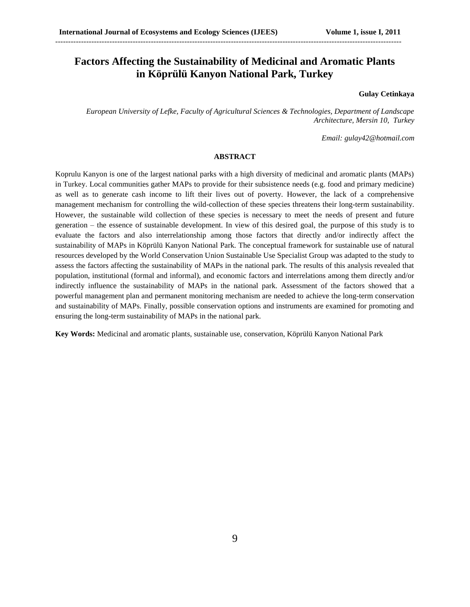## **Factors Affecting the Sustainability of Medicinal and Aromatic Plants in Köprülü Kanyon National Park, Turkey**

--------------------------------------------------------------------------------------------------------------------------------------

#### **Gulay Cetinkaya**

*European University of Lefke, Faculty of Agricultural Sciences & Technologies, Department of Landscape Architecture, Mersin 10, Turkey*

*Email: [gulay42@hotmail.com](mailto:gulay42@hotmail.com)*

### **ABSTRACT**

Koprulu Kanyon is one of the largest national parks with a high diversity of medicinal and aromatic plants (MAPs) in Turkey. Local communities gather MAPs to provide for their subsistence needs (e.g. food and primary medicine) as well as to generate cash income to lift their lives out of poverty. However, the lack of a comprehensive management mechanism for controlling the wild-collection of these species threatens their long-term sustainability. However, the sustainable wild collection of these species is necessary to meet the needs of present and future generation – the essence of sustainable development. In view of this desired goal, the purpose of this study is to evaluate the factors and also interrelationship among those factors that directly and/or indirectly affect the sustainability of MAPs in Köprülü Kanyon National Park. The conceptual framework for sustainable use of natural resources developed by the World Conservation Union Sustainable Use Specialist Group was adapted to the study to assess the factors affecting the sustainability of MAPs in the national park. The results of this analysis revealed that population, institutional (formal and informal), and economic factors and interrelations among them directly and/or indirectly influence the sustainability of MAPs in the national park. Assessment of the factors showed that a powerful management plan and permanent monitoring mechanism are needed to achieve the long-term conservation and sustainability of MAPs. Finally, possible conservation options and instruments are examined for promoting and ensuring the long-term sustainability of MAPs in the national park.

**Key Words:** Medicinal and aromatic plants, sustainable use, conservation, Köprülü Kanyon National Park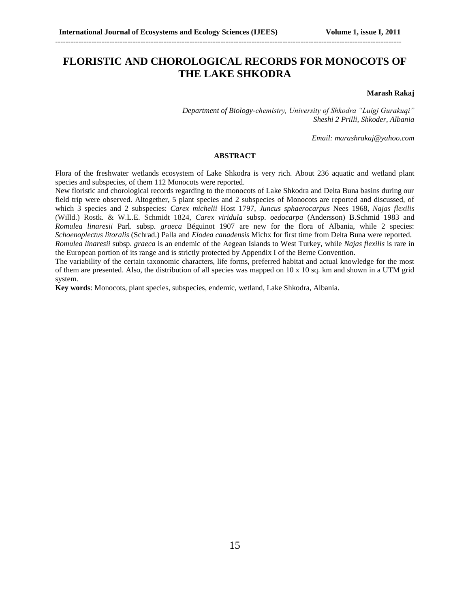## **FLORISTIC AND CHOROLOGICAL RECORDS FOR MONOCOTS OF THE LAKE SHKODRA**

--------------------------------------------------------------------------------------------------------------------------------------

#### **Marash Rakaj**

*Department of Biology-chemistry, University of Shkodra "Luigj Gurakuqi" Sheshi 2 Prilli, Shkoder, Albania*

*Email: marashrakaj@yahoo.com*

#### **ABSTRACT**

Flora of the freshwater wetlands ecosystem of Lake Shkodra is very rich. About 236 aquatic and wetland plant species and subspecies, of them 112 Monocots were reported.

New floristic and chorological records regarding to the monocots of Lake Shkodra and Delta Buna basins during our field trip were observed. Altogether, 5 plant species and 2 subspecies of Monocots are reported and discussed, of which 3 species and 2 subspecies: *Carex michelii* Host 1797, *Juncus sphaerocarpus* Nees 1968, *Najas flexilis* (Willd.) Rostk. & W.L.E. Schmidt 1824, *Carex viridula* subsp. *oedocarpa* (Andersson) B.Schmid 1983 and *Romulea linaresii* Parl. subsp. *graeca* Béguinot 1907 are new for the flora of Albania, while 2 species: *Schoenoplectus litoralis* (Schrad.) Palla and *Elodea canadensis* Michx for first time from Delta Buna were reported. *Romulea linaresii* subsp. *graeca* is an endemic of the Aegean Islands to West Turkey, while *Najas flexilis* is rare in

the European portion of its range and is strictly protected by Appendix I of the Berne Convention.

The variability of the certain taxonomic characters, life forms, preferred habitat and actual knowledge for the most of them are presented. Also, the distribution of all species was mapped on  $10 \times 10$  sq. km and shown in a UTM grid system.

**Key words**: Monocots, plant species, subspecies, endemic, wetland, Lake Shkodra, Albania.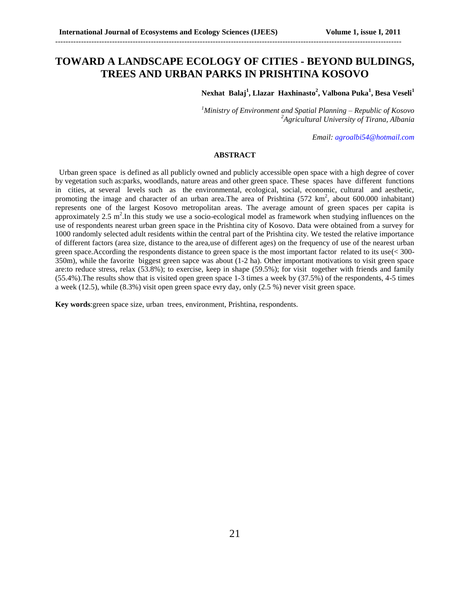## **TOWARD A LANDSCAPE ECOLOGY OF CITIES - BEYOND BULDINGS, TREES AND URBAN PARKS IN PRISHTINA KOSOVO**

--------------------------------------------------------------------------------------------------------------------------------------

**Nexhat Balaj<sup>1</sup> , Llazar Haxhinasto<sup>2</sup> , Valbona Puka<sup>1</sup> , Besa Veseli<sup>1</sup>**

*<sup>1</sup>Ministry of Environment and Spatial Planning – Republic of Kosovo <sup>2</sup>Agricultural University of Tirana, Albania*

*Email[: agroalbi54@hotmail.com](mailto:agroalbi54@hotmail.com)*

### **ABSTRACT**

 Urban green space is defined as all publicly owned and publicly accessible open space with a high degree of cover by vegetation such as:parks, woodlands, nature areas and other green space. These spaces have different functions in cities, at several levels such as the environmental, ecological, social, economic, cultural and aesthetic, promoting the image and character of an urban area. The area of Prishtina  $(572 \text{ km}^2, \text{ about } 600.000 \text{ inhabitants})$ represents one of the largest Kosovo metropolitan areas. The average amount of green spaces per capita is approximately  $2.5 \text{ m}^2$ . In this study we use a socio-ecological model as framework when studying influences on the use of respondents nearest urban green space in the Prishtina city of Kosovo. Data were obtained from a survey for 1000 randomly selected adult residents within the central part of the Prishtina city. We tested the relative importance of different factors (area size, distance to the area,use of different ages) on the frequency of use of the nearest urban green space.According the respondents distance to green space is the most important factor related to its use(< 300- 350m), while the favorite biggest green sapce was about (1-2 ha). Other important motivations to visit green space are:to reduce stress, relax (53.8%); to exercise, keep in shape (59.5%); for visit together with friends and family (55.4%).The results show that is visited open green space 1-3 times a week by (37.5%) of the respondents, 4-5 times a week (12.5), while (8.3%) visit open green space evry day, only (2.5 %) never visit green space.

**Key words**:green space size, urban trees, environment, Prishtina, respondents.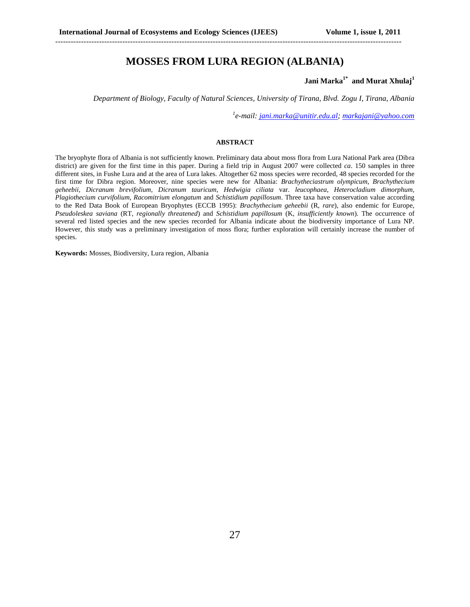### **MOSSES FROM LURA REGION (ALBANIA)**

--------------------------------------------------------------------------------------------------------------------------------------

### **Jani Marka1\* and Murat Xhulaj<sup>1</sup>**

*Department of Biology, Faculty of Natural Sciences, University of Tirana, Blvd. Zogu I, Tirana, Albania*

*1 e-mail: [jani.marka@unitir.edu.al;](mailto:jani.marka@unitir.edu.al) [markajani@yahoo.com](mailto:markajani@yahoo.com)*

#### **ABSTRACT**

The bryophyte flora of Albania is not sufficiently known. Preliminary data about moss flora from Lura National Park area (Dibra district) are given for the first time in this paper. During a field trip in August 2007 were collected *ca*. 150 samples in three different sites, in Fushe Lura and at the area of Lura lakes. Altogether 62 moss species were recorded, 48 species recorded for the first time for Dibra region. Moreover, nine species were new for Albania: *Brachytheciastrum olympicum*, *Brachythecium geheebii*, *Dicranum brevifolium*, *Dicranum tauricum*, *Hedwigia ciliata* var. *leucophaea*, *Heterocladium dimorphum, Plagiothecium curvifolium, Racomitrium elongatum* and *Schistidium papillosum*. Three taxa have conservation value according to the Red Data Book of European Bryophytes (ECCB 1995): *Brachythecium geheebii* (R, *rare*), also endemic for Europe, *Pseudoleskea saviana* (RT, *regionally threatened*) and *Schistidium papillosum* (K, *insufficiently known*). The occurrence of several red listed species and the new species recorded for Albania indicate about the biodiversity importance of Lura NP. However, this study was a preliminary investigation of moss flora; further exploration will certainly increase the number of species.

**Keywords:** Mosses, Biodiversity, Lura region, Albania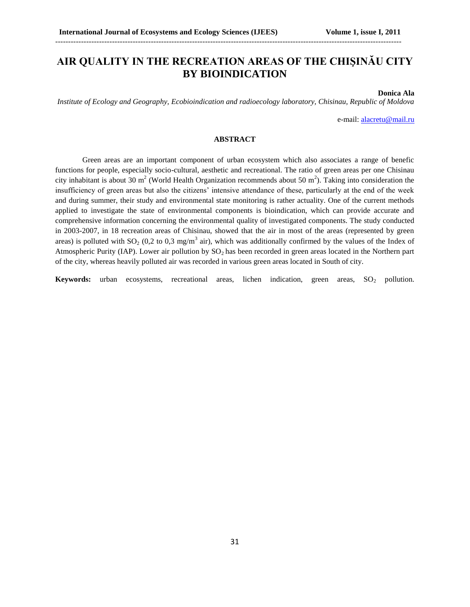# **AIR QUALITY IN THE RECREATION AREAS OF THE CHIŞINĂU CITY BY BIOINDICATION**

--------------------------------------------------------------------------------------------------------------------------------------

#### **Donica Ala**

*Institute of Ecology and Geography, Ecobioindication and radioecology laboratory, Chisinau, Republic of Moldova*

e-mail: [alacretu@mail.ru](mailto:alacretu@mail.ru)

#### **ABSTRACT**

Green areas are an important component of urban ecosystem which also associates a range of benefic functions for people, especially socio-cultural, aesthetic and recreational. The ratio of green areas per one Chisinau city inhabitant is about 30 m<sup>2</sup> (World Health Organization recommends about 50 m<sup>2</sup>). Taking into consideration the insufficiency of green areas but also the citizens' intensive attendance of these, particularly at the end of the week and during summer, their study and environmental state monitoring is rather actuality. One of the current methods applied to investigate the state of environmental components is bioindication, which can provide accurate and comprehensive information concerning the environmental quality of investigated components. The study conducted in 2003-2007, in 18 recreation areas of Chisinau, showed that the air in most of the areas (represented by green areas) is polluted with  $SO_2$  (0,2 to 0,3 mg/m<sup>3</sup> air), which was additionally confirmed by the values of the Index of Atmospheric Purity (IAP). Lower air pollution by  $SO_2$  has been recorded in green areas located in the Northern part of the city, whereas heavily polluted air was recorded in various green areas located in South of city.

**Keywords:** urban ecosystems, recreational areas, lichen indication, green areas, SO<sub>2</sub> pollution.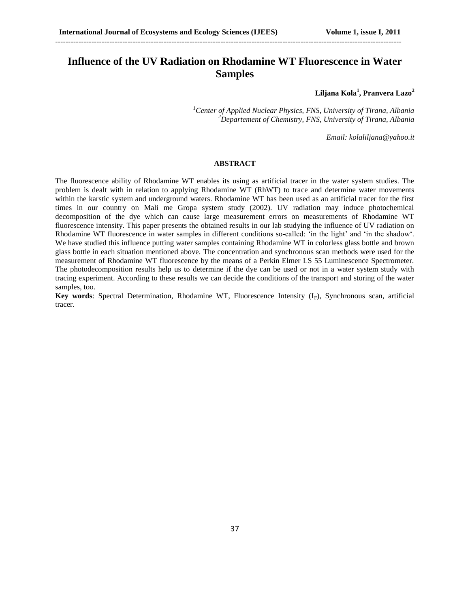## **Influence of the UV Radiation on Rhodamine WT Fluorescence in Water Samples**

--------------------------------------------------------------------------------------------------------------------------------------

**Liljana Kola<sup>1</sup> , Pranvera Lazo<sup>2</sup>**

*<sup>1</sup>Center of Applied Nuclear Physics, FNS, University of Tirana, Albania <sup>2</sup>Departement of Chemistry, FNS, University of Tirana, Albania*

*Email: [kolaliljana@yahoo.it](mailto:kolaliljana@yahoo.it)*

#### **ABSTRACT**

The fluorescence ability of Rhodamine WT enables its using as artificial tracer in the water system studies. The problem is dealt with in relation to applying Rhodamine WT (RhWT) to trace and determine water movements within the karstic system and underground waters. Rhodamine WT has been used as an artificial tracer for the first times in our country on Mali me Gropa system study (2002). UV radiation may induce photochemical decomposition of the dye which can cause large measurement errors on measurements of Rhodamine WT fluorescence intensity. This paper presents the obtained results in our lab studying the influence of UV radiation on Rhodamine WT fluorescence in water samples in different conditions so-called: 'in the light' and 'in the shadow'. We have studied this influence putting water samples containing Rhodamine WT in colorless glass bottle and brown glass bottle in each situation mentioned above. The concentration and synchronous scan methods were used for the measurement of Rhodamine WT fluorescence by the means of a Perkin Elmer LS 55 Luminescence Spectrometer. The photodecomposition results help us to determine if the dye can be used or not in a water system study with tracing experiment. According to these results we can decide the conditions of the transport and storing of the water samples, too.

**Key words:** Spectral Determination, Rhodamine WT, Fluorescence Intensity  $(I_F)$ , Synchronous scan, artificial tracer.

37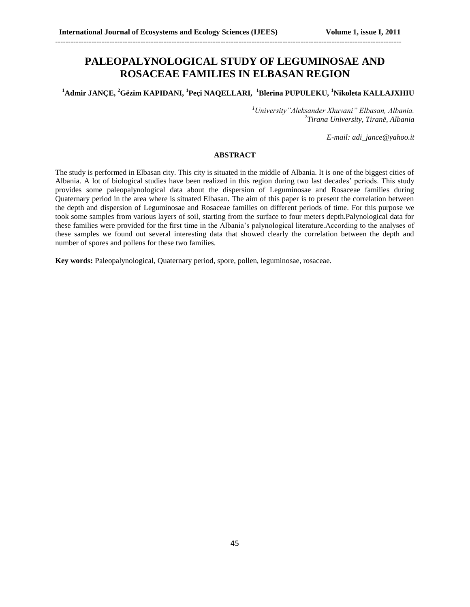### **PALEOPALYNOLOGICAL STUDY OF LEGUMINOSAE AND ROSACEAE FAMILIES IN ELBASAN REGION**

--------------------------------------------------------------------------------------------------------------------------------------

**<sup>1</sup>Admir JANÇE, <sup>2</sup>Gëzim KAPIDANI, <sup>1</sup>Peçi NAQELLARI, <sup>1</sup>Blerina PUPULEKU, <sup>1</sup>Nikoleta KALLAJXHIU**

*<sup>1</sup>University"Aleksander Xhuvani" Elbasan, Albania. 2 Tirana University, Tiranë, Albania*

*E-mail: adi\_jance@yahoo.it*

#### **ABSTRACT**

The study is performed in Elbasan city. This city is situated in the middle of Albania. It is one of the biggest cities of Albania. A lot of biological studies have been realized in this region during two last decades' periods. This study provides some paleopalynological data about the dispersion of Leguminosae and Rosaceae families during Quaternary period in the area where is situated Elbasan. The aim of this paper is to present the correlation between the depth and dispersion of Leguminosae and Rosaceae families on different periods of time. For this purpose we took some samples from various layers of soil, starting from the surface to four meters depth.Palynological data for these families were provided for the first time in the Albania's palynological literature.According to the analyses of these samples we found out several interesting data that showed clearly the correlation between the depth and number of spores and pollens for these two families.

**Key words:** Paleopalynological, Quaternary period, spore, pollen, leguminosae, rosaceae.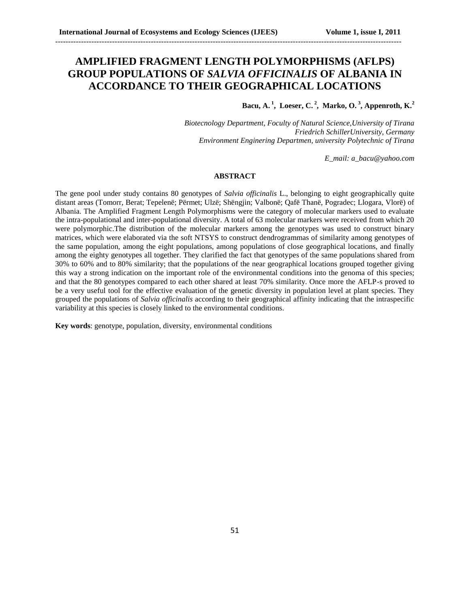### **AMPLIFIED FRAGMENT LENGTH POLYMORPHISMS (AFLPS) GROUP POPULATIONS OF** *SALVIA OFFICINALIS* **OF ALBANIA IN ACCORDANCE TO THEIR GEOGRAPHICAL LOCATIONS**

--------------------------------------------------------------------------------------------------------------------------------------

**Bacu, A. <sup>1</sup> , Loeser, C. <sup>2</sup> , Marko, O. <sup>3</sup> , Appenroth, K.<sup>2</sup>**

*Biotecnology Department, Foculty of Natural Science,University of Tirana Friedrich SchillerUniversity, Germany Environment Enginering Departmen, university Polytechnic of Tirana*

*E\_mail: a\_bacu@yahoo.com*

### **ABSTRACT**

The gene pool under study contains 80 genotypes of *Salvia officinalis* L., belonging to eight geographically quite distant areas (Tomorr, Berat; Tepelenë; Përmet; Ulzë; Shëngjin; Valbonë; Qafë Thanë, Pogradec; Llogara, Vlorë) of Albania. The Amplified Fragment Length Polymorphisms were the category of molecular markers used to evaluate the intra-populational and inter-populational diversity. A total of 63 molecular markers were received from which 20 were polymorphic.The distribution of the molecular markers among the genotypes was used to construct binary matrices, which were elaborated via the soft NTSYS to construct dendrogrammas of similarity among genotypes of the same population, among the eight populations, among populations of close geographical locations, and finally among the eighty genotypes all together. They clarified the fact that genotypes of the same populations shared from 30% to 60% and to 80% similarity; that the populations of the near geographical locations grouped together giving this way a strong indication on the important role of the environmental conditions into the genoma of this species; and that the 80 genotypes compared to each other shared at least 70% similarity. Once more the AFLP-s proved to be a very useful tool for the effective evaluation of the genetic diversity in population level at plant species. They grouped the populations of *Salvia officinalis* according to their geographical affinity indicating that the intraspecific variability at this species is closely linked to the environmental conditions.

**Key words**: genotype, population, diversity, environmental conditions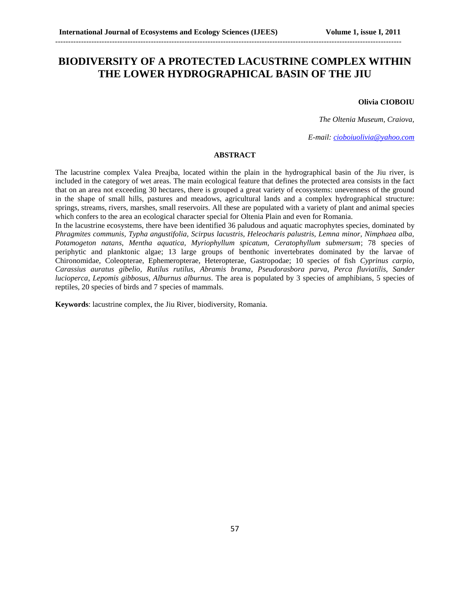## **BIODIVERSITY OF A PROTECTED LACUSTRINE COMPLEX WITHIN THE LOWER HYDROGRAPHICAL BASIN OF THE JIU**

--------------------------------------------------------------------------------------------------------------------------------------

#### **Olivia CIOBOIU**

*The Oltenia Museum, Craiova,* 

*E-mail[: cioboiuolivia@yahoo.com](mailto:cioboiuolivia@yahoo.com)*

### **ABSTRACT**

The lacustrine complex Valea Preajba, located within the plain in the hydrographical basin of the Jiu river, is included in the category of wet areas. The main ecological feature that defines the protected area consists in the fact that on an area not exceeding 30 hectares, there is grouped a great variety of ecosystems: unevenness of the ground in the shape of small hills, pastures and meadows, agricultural lands and a complex hydrographical structure: springs, streams, rivers, marshes, small reservoirs. All these are populated with a variety of plant and animal species which confers to the area an ecological character special for Oltenia Plain and even for Romania.

In the lacustrine ecosystems, there have been identified 36 paludous and aquatic macrophytes species, dominated by *Phragmites communis, Typha angustifolia, Scirpus lacustris, Heleocharis palustris, Lemna minor, Nimphaea alba, Potamogeton natans, Mentha aquatica, Myriophyllum spicatum, Ceratophyllum submersum*; 78 species of periphytic and planktonic algae; 13 large groups of benthonic invertebrates dominated by the larvae of Chironomidae, Coleopterae, Ephemeropterae, Heteropterae, Gastropodae; 10 species of fish *Cyprinus carpio, Carassius auratus gibelio, Rutilus rutilus, Abramis brama*, *Pseudorasbora parva*, *Perca fluviatilis*, *Sander lucioperca*, *Lepomis gibbosus*, *Alburnus alburnus*. The area is populated by 3 species of amphibians, 5 species of reptiles, 20 species of birds and 7 species of mammals.

**Keywords**: lacustrine complex, the Jiu River, biodiversity, Romania.